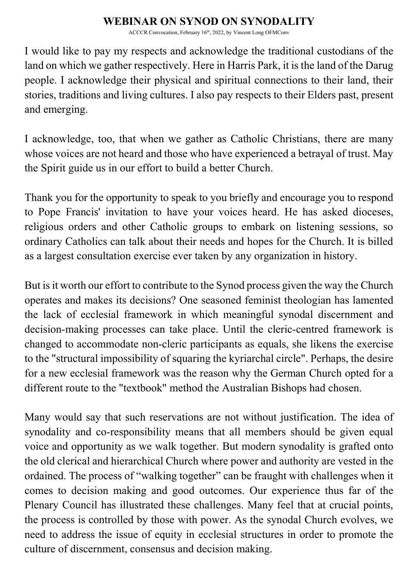## **WEBINAR ON SYNOD ON SYNODALITY**

ACCCR Convocation, February 16<sup>th</sup>, 2022, by Vincent Long OFMConv

I would like to pay my respects and acknowledge the traditional custodians of the land on which we gather respectively. Here in Harris Park, it is the land of the Darug people. I acknowledge their physical and spiritual connections to their land, their stories, traditions and living cultures. I also pay respects to their Elders past, present and emerging.

I acknowledge, too, that when we gather as Catholic Christians, there are many whose voices are not heard and those who have experienced a betrayal of trust. May the Spirit guide us in our effort to build a better Church.

Thank you for the opportunity to speak to you briefly and encourage you to respond to Pope Francis' invitation to have your voices heard. He has asked dioceses, religious orders and other Catholic groups to embark on listening sessions, so ordinary Catholics can talk about their needs and hopes for the Church. It is billed as a largest consultation exercise ever taken by any organization in history.

But is it worth our effort to contribute to the Synod process given the way the Church operates and makes its decisions? One seasoned feminist theologian has lamented the lack of ecclesial framework in which meaningful synodal discernment and decision-making processes can take place. Until the cleric-centred framework is changed to accommodate non-cleric participants as equals, she likens the exercise to the "structural impossibility of squaring the kyriarchal circle". Perhaps, the desire for a new ecclesial framework was the reason why the German Church opted for a different route to the "textbook" method the Australian Bishops had chosen.

Many would say that such reservations are not without justification. The idea of synodality and co-responsibility means that all members should be given equal voice and opportunity as we walk together. But modern synodality is grafted onto the old clerical and hierarchical Church where power and authority are vested in the ordained. The process of "walking together" can be fraught with challenges when it comes to decision making and good outcomes. Our experience thus far of the Plenary Council has illustrated these challenges. Many feel that at crucial points, the process is controlled by those with power. As the synodal Church evolves, we need to address the issue of equity in ecclesial structures in order to promote the culture of discernment, consensus and decision making.